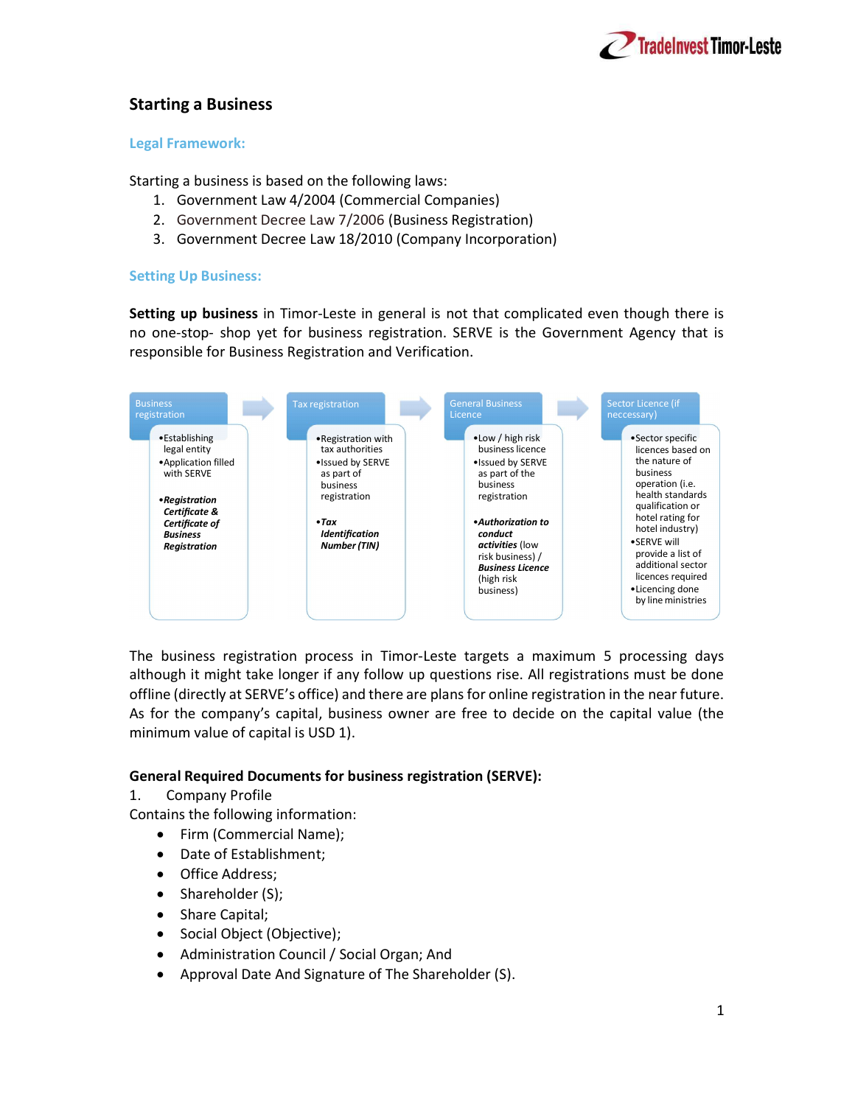

# Starting a Business

### Legal Framework:

Starting a business is based on the following laws:

- 1. Government Law 4/2004 (Commercial Companies)
- 2. Government Decree Law 7/2006 (Business Registration)
- 3. Government Decree Law 18/2010 (Company Incorporation)

# Setting Up Business:

Setting up business in Timor-Leste in general is not that complicated even though there is no one-stop- shop yet for business registration. SERVE is the Government Agency that is responsible for Business Registration and Verification.



The business registration process in Timor-Leste targets a maximum 5 processing days although it might take longer if any follow up questions rise. All registrations must be done offline (directly at SERVE's office) and there are plans for online registration in the near future. As for the company's capital, business owner are free to decide on the capital value (the minimum value of capital is USD 1).

# General Required Documents for business registration (SERVE):

1. Company Profile

Contains the following information:

- Firm (Commercial Name);
- Date of Establishment;
- Office Address;
- $\bullet$  Shareholder (S);
- Share Capital;
- Social Object (Objective);
- Administration Council / Social Organ; And
- Approval Date And Signature of The Shareholder (S).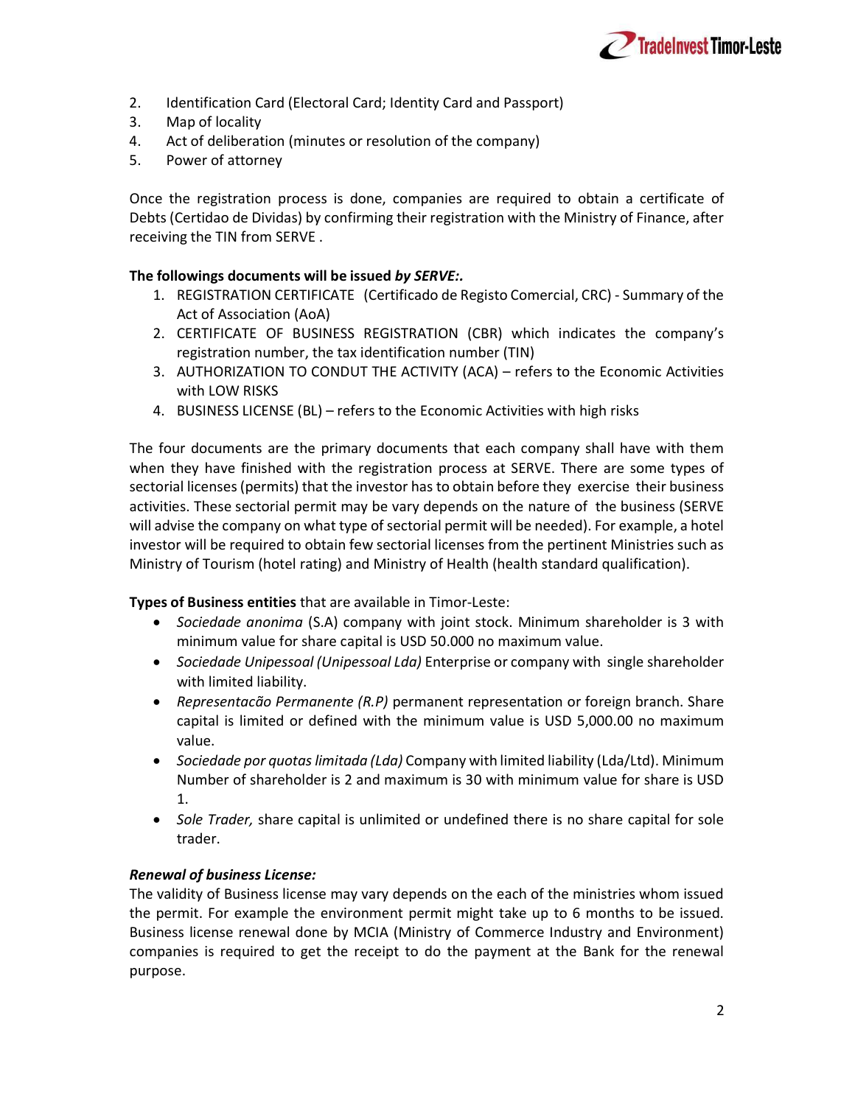

- 2. Identification Card (Electoral Card; Identity Card and Passport)
- 3. Map of locality
- 4. Act of deliberation (minutes or resolution of the company)
- 5. Power of attorney

Once the registration process is done, companies are required to obtain a certificate of Debts (Certidao de Dividas) by confirming their registration with the Ministry of Finance, after receiving the TIN from SERVE .

## The followings documents will be issued by SERVE:.

- 1. REGISTRATION CERTIFICATE (Certificado de Registo Comercial, CRC) Summary of the Act of Association (AoA)
- 2. CERTIFICATE OF BUSINESS REGISTRATION (CBR) which indicates the company's registration number, the tax identification number (TIN)
- 3. AUTHORIZATION TO CONDUT THE ACTIVITY (ACA) refers to the Economic Activities with LOW RISKS
- 4. BUSINESS LICENSE (BL) refers to the Economic Activities with high risks

The four documents are the primary documents that each company shall have with them when they have finished with the registration process at SERVE. There are some types of sectorial licenses (permits) that the investor has to obtain before they exercise their business activities. These sectorial permit may be vary depends on the nature of the business (SERVE will advise the company on what type of sectorial permit will be needed). For example, a hotel investor will be required to obtain few sectorial licenses from the pertinent Ministries such as Ministry of Tourism (hotel rating) and Ministry of Health (health standard qualification).

Types of Business entities that are available in Timor-Leste:

- Sociedade anonima (S.A) company with joint stock. Minimum shareholder is 3 with minimum value for share capital is USD 50.000 no maximum value.
- Sociedade Unipessoal (Unipessoal Lda) Enterprise or company with single shareholder with limited liability.
- Representacão Permanente (R.P) permanent representation or foreign branch. Share capital is limited or defined with the minimum value is USD 5,000.00 no maximum value.
- Sociedade por quotas limitada (Lda) Company with limited liability (Lda/Ltd). Minimum Number of shareholder is 2 and maximum is 30 with minimum value for share is USD 1.
- Sole Trader, share capital is unlimited or undefined there is no share capital for sole trader.

#### Renewal of business License:

The validity of Business license may vary depends on the each of the ministries whom issued the permit. For example the environment permit might take up to 6 months to be issued. Business license renewal done by MCIA (Ministry of Commerce Industry and Environment) companies is required to get the receipt to do the payment at the Bank for the renewal purpose.